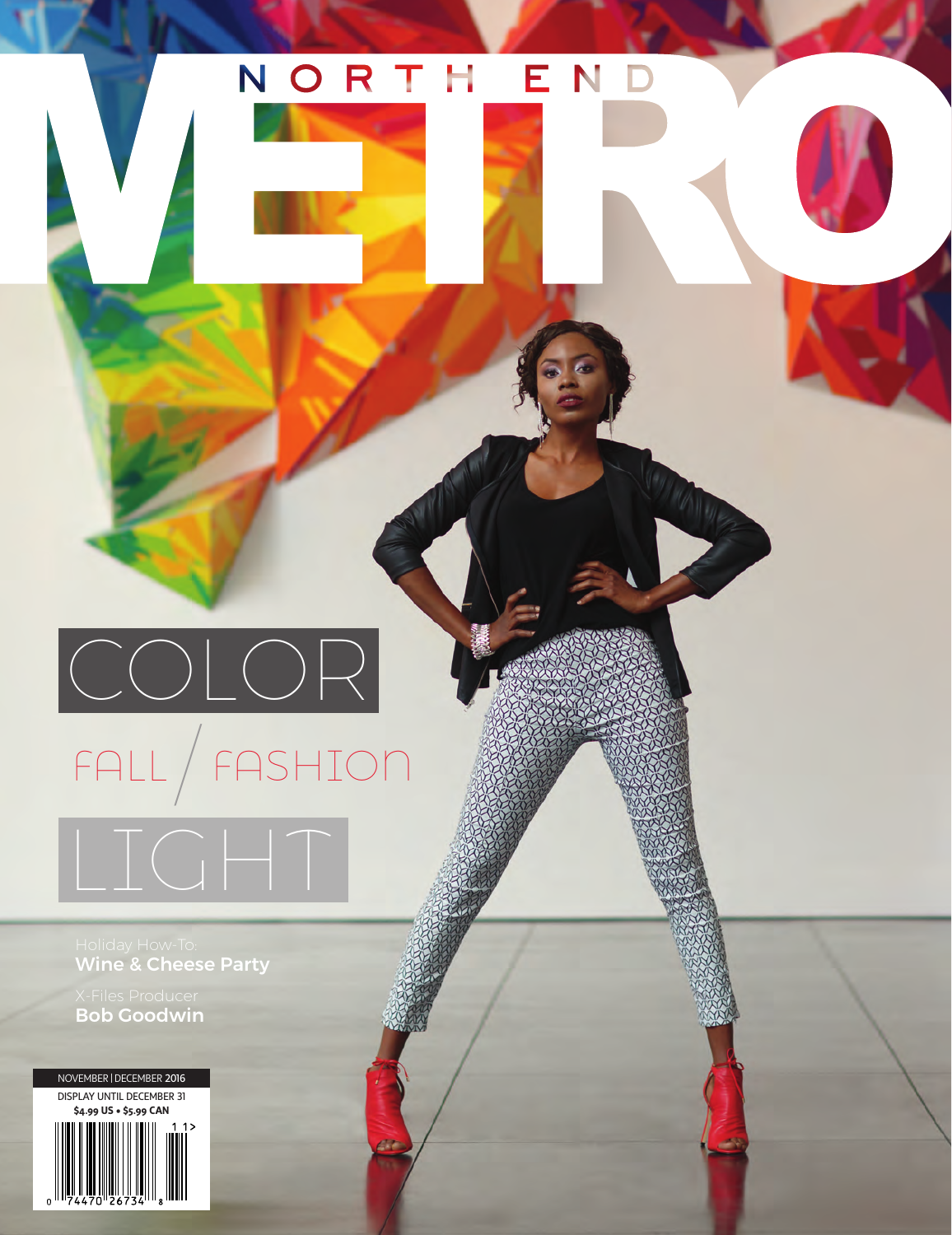### NORTH END

## / FALL FASHION  $\left(\begin{array}{c} \begin{array}{c} \end{array} & \begin{array}{c} \end{array} & \begin{array}{c} \end{array} & \begin{array}{c} \end{array} & \begin{array}{c} \end{array} & \begin{array}{c} \end{array} & \begin{array}{c} \end{array} & \begin{array}{c} \end{array} & \begin{array}{c} \end{array} & \begin{array}{c} \end{array} & \begin{array}{c} \end{array} & \begin{array}{c} \end{array} & \begin{array}{c} \end{array} & \begin{array}{c} \end{array} & \begin{array}{c} \end{array} & \begin{array}{c} \end{array} & \begin{$ LIGHT

Wine & Cheese Party

Bob Goodwin

NOVEMBER|DECEMBER 2016 DISPLAY UNTIL DECEMBER 31 **\$4.99 US • \$5.99 CAN**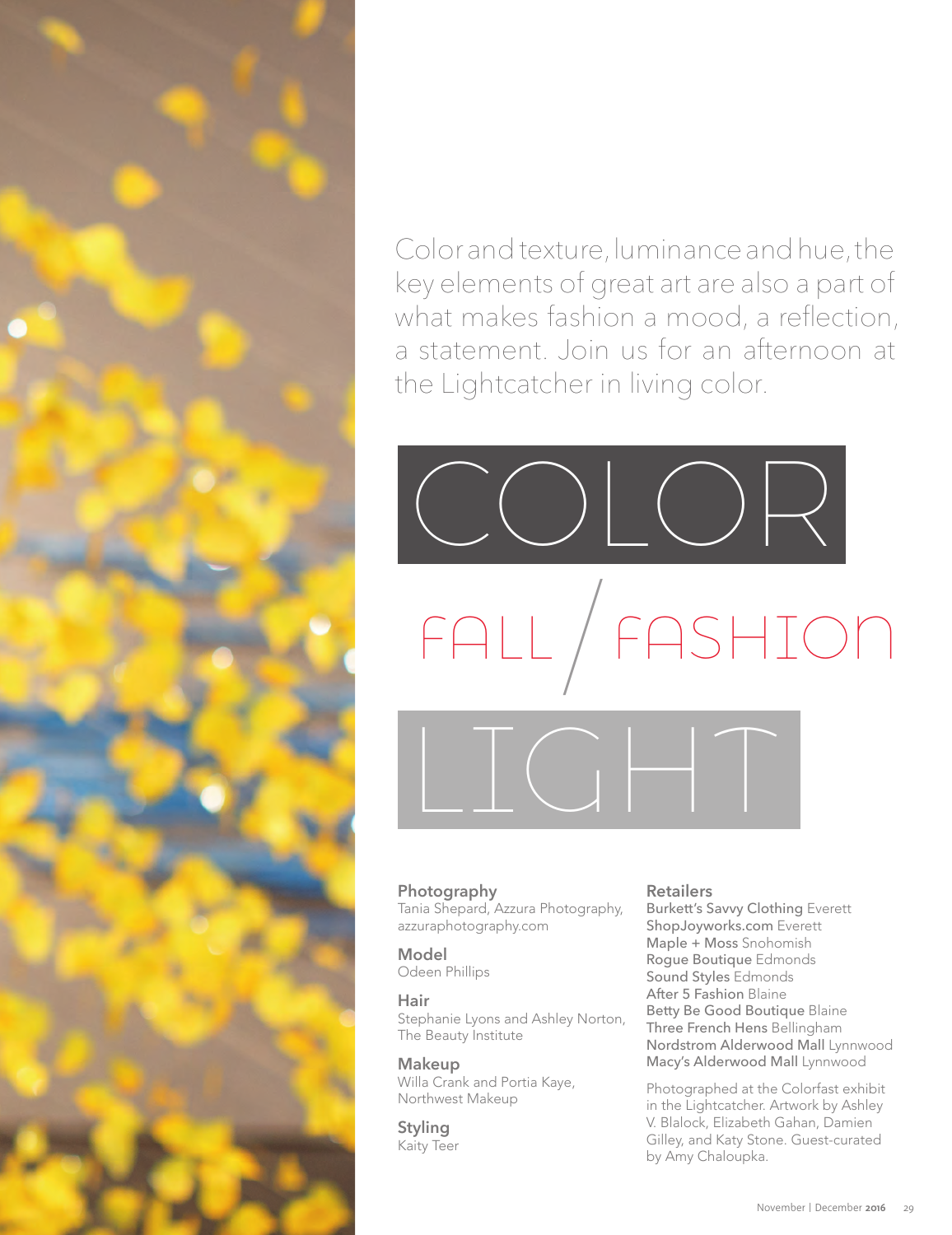

Color and texture, luminance and hue, the key elements of great art are also a part of what makes fashion a mood, a reflection, a statement. Join us for an afternoon at the Lightcatcher in living color.

# COLOR LIGHT / FALL FASHION

### **Photography**

Tania Shepard, Azzura Photography, azzuraphotography.com

**Model**  Odeen Phillips

**Hair**  Stephanie Lyons and Ashley Norton, The Beauty Institute

**Makeup**  Willa Crank and Portia Kaye, Northwest Makeup

**Styling**  Kaity Teer

#### **Retailers**

Burkett's Savvy Clothing Everett ShopJoyworks.com Everett Maple + Moss Snohomish Rogue Boutique Edmonds Sound Styles Edmonds After 5 Fashion Blaine Betty Be Good Boutique Blaine Three French Hens Bellingham Nordstrom Alderwood Mall Lynnwood Macy's Alderwood Mall Lynnwood

Photographed at the Colorfast exhibit in the Lightcatcher. Artwork by Ashley V. Blalock, Elizabeth Gahan, Damien Gilley, and Katy Stone. Guest-curated by Amy Chaloupka.